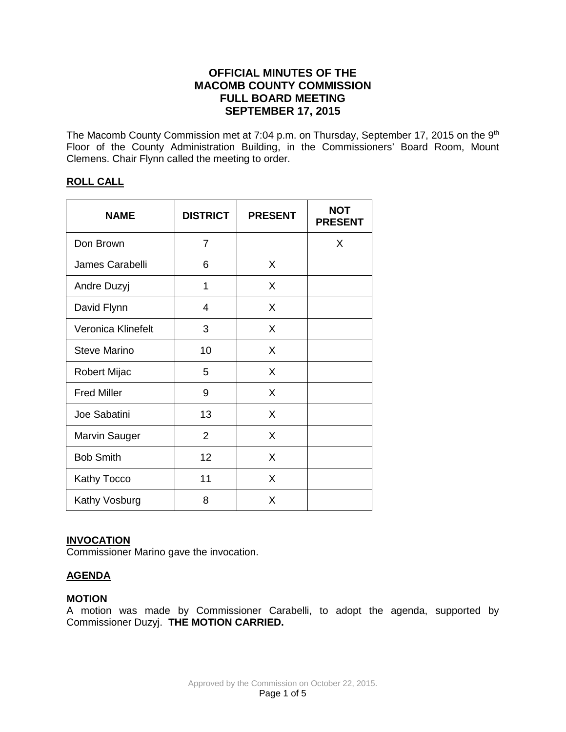# **OFFICIAL MINUTES OF THE MACOMB COUNTY COMMISSION FULL BOARD MEETING SEPTEMBER 17, 2015**

The Macomb County Commission met at 7:04 p.m. on Thursday, September 17, 2015 on the 9<sup>th</sup> Floor of the County Administration Building, in the Commissioners' Board Room, Mount Clemens. Chair Flynn called the meeting to order.

## **ROLL CALL**

| <b>NAME</b>          | <b>DISTRICT</b> | <b>PRESENT</b> | <b>NOT</b><br><b>PRESENT</b> |
|----------------------|-----------------|----------------|------------------------------|
| Don Brown            | $\overline{7}$  |                | X                            |
| James Carabelli      | 6               | X              |                              |
| Andre Duzyj          | 1               | X              |                              |
| David Flynn          | $\overline{4}$  | X              |                              |
| Veronica Klinefelt   | 3               | X              |                              |
| <b>Steve Marino</b>  | 10              | X              |                              |
| <b>Robert Mijac</b>  | 5               | X              |                              |
| <b>Fred Miller</b>   | 9               | X              |                              |
| Joe Sabatini         | 13              | X              |                              |
| <b>Marvin Sauger</b> | $\overline{2}$  | X              |                              |
| <b>Bob Smith</b>     | 12              | X              |                              |
| <b>Kathy Tocco</b>   | 11              | X              |                              |
| Kathy Vosburg        | 8               | X              |                              |

### **INVOCATION**

Commissioner Marino gave the invocation.

# **AGENDA**

### **MOTION**

A motion was made by Commissioner Carabelli, to adopt the agenda, supported by Commissioner Duzyj. **THE MOTION CARRIED.**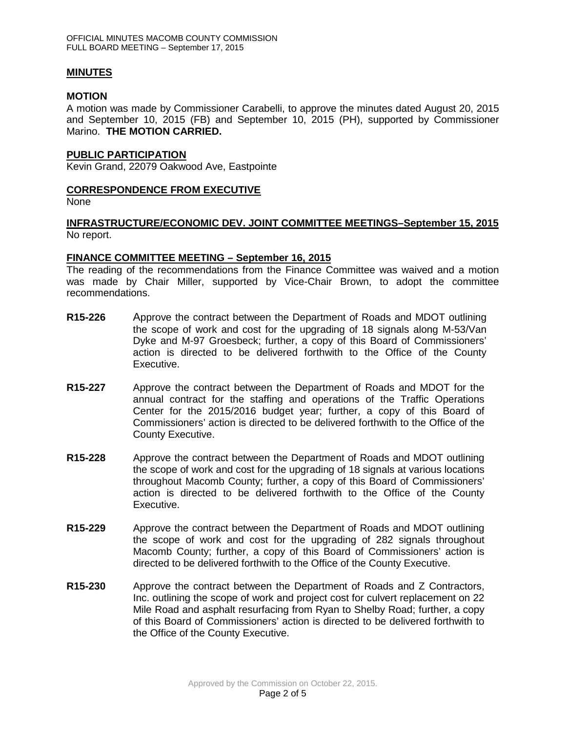### **MINUTES**

### **MOTION**

A motion was made by Commissioner Carabelli, to approve the minutes dated August 20, 2015 and September 10, 2015 (FB) and September 10, 2015 (PH), supported by Commissioner Marino. **THE MOTION CARRIED.** 

### **PUBLIC PARTICIPATION**

Kevin Grand, 22079 Oakwood Ave, Eastpointe

## **CORRESPONDENCE FROM EXECUTIVE**

None

## **INFRASTRUCTURE/ECONOMIC DEV. JOINT COMMITTEE MEETINGS–September 15, 2015** No report.

## **FINANCE COMMITTEE MEETING – September 16, 2015**

The reading of the recommendations from the Finance Committee was waived and a motion was made by Chair Miller, supported by Vice-Chair Brown, to adopt the committee recommendations.

- **R15-226** Approve the contract between the Department of Roads and MDOT outlining the scope of work and cost for the upgrading of 18 signals along M-53/Van Dyke and M-97 Groesbeck; further, a copy of this Board of Commissioners' action is directed to be delivered forthwith to the Office of the County Executive.
- **R15-227** Approve the contract between the Department of Roads and MDOT for the annual contract for the staffing and operations of the Traffic Operations Center for the 2015/2016 budget year; further, a copy of this Board of Commissioners' action is directed to be delivered forthwith to the Office of the County Executive.
- **R15-228** Approve the contract between the Department of Roads and MDOT outlining the scope of work and cost for the upgrading of 18 signals at various locations throughout Macomb County; further, a copy of this Board of Commissioners' action is directed to be delivered forthwith to the Office of the County Executive.
- **R15-229** Approve the contract between the Department of Roads and MDOT outlining the scope of work and cost for the upgrading of 282 signals throughout Macomb County; further, a copy of this Board of Commissioners' action is directed to be delivered forthwith to the Office of the County Executive.
- **R15-230** Approve the contract between the Department of Roads and Z Contractors, Inc. outlining the scope of work and project cost for culvert replacement on 22 Mile Road and asphalt resurfacing from Ryan to Shelby Road; further, a copy of this Board of Commissioners' action is directed to be delivered forthwith to the Office of the County Executive.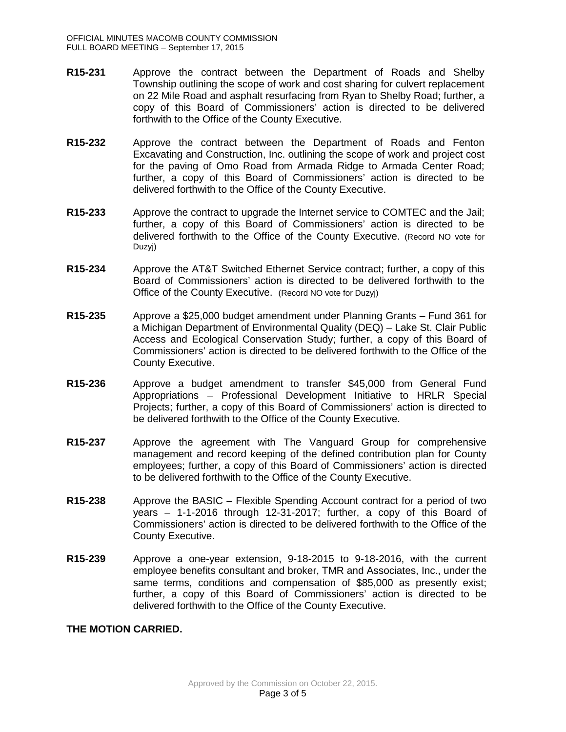- **R15-231** Approve the contract between the Department of Roads and Shelby Township outlining the scope of work and cost sharing for culvert replacement on 22 Mile Road and asphalt resurfacing from Ryan to Shelby Road; further, a copy of this Board of Commissioners' action is directed to be delivered forthwith to the Office of the County Executive.
- **R15-232** Approve the contract between the Department of Roads and Fenton Excavating and Construction, Inc. outlining the scope of work and project cost for the paving of Omo Road from Armada Ridge to Armada Center Road; further, a copy of this Board of Commissioners' action is directed to be delivered forthwith to the Office of the County Executive.
- **R15-233** Approve the contract to upgrade the Internet service to COMTEC and the Jail; further, a copy of this Board of Commissioners' action is directed to be delivered forthwith to the Office of the County Executive. (Record NO vote for Duzyj)
- **R15-234** Approve the AT&T Switched Ethernet Service contract; further, a copy of this Board of Commissioners' action is directed to be delivered forthwith to the Office of the County Executive. (Record NO vote for Duzyj)
- **R15-235** Approve a \$25,000 budget amendment under Planning Grants Fund 361 for a Michigan Department of Environmental Quality (DEQ) – Lake St. Clair Public Access and Ecological Conservation Study; further, a copy of this Board of Commissioners' action is directed to be delivered forthwith to the Office of the County Executive.
- **R15-236** Approve a budget amendment to transfer \$45,000 from General Fund Appropriations – Professional Development Initiative to HRLR Special Projects; further, a copy of this Board of Commissioners' action is directed to be delivered forthwith to the Office of the County Executive.
- **R15-237** Approve the agreement with The Vanguard Group for comprehensive management and record keeping of the defined contribution plan for County employees; further, a copy of this Board of Commissioners' action is directed to be delivered forthwith to the Office of the County Executive.
- **R15-238** Approve the BASIC Flexible Spending Account contract for a period of two years – 1-1-2016 through 12-31-2017; further, a copy of this Board of Commissioners' action is directed to be delivered forthwith to the Office of the County Executive.
- **R15-239** Approve a one-year extension, 9-18-2015 to 9-18-2016, with the current employee benefits consultant and broker, TMR and Associates, Inc., under the same terms, conditions and compensation of \$85,000 as presently exist; further, a copy of this Board of Commissioners' action is directed to be delivered forthwith to the Office of the County Executive.

# **THE MOTION CARRIED.**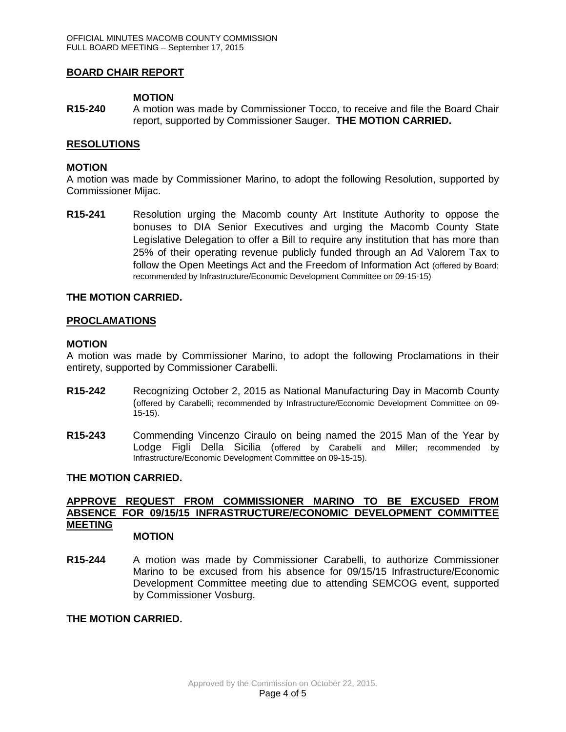## **BOARD CHAIR REPORT**

### **MOTION**

**R15-240** A motion was made by Commissioner Tocco, to receive and file the Board Chair report, supported by Commissioner Sauger. **THE MOTION CARRIED.**

### **RESOLUTIONS**

### **MOTION**

A motion was made by Commissioner Marino, to adopt the following Resolution, supported by Commissioner Mijac.

**R15-241** Resolution urging the Macomb county Art Institute Authority to oppose the bonuses to DIA Senior Executives and urging the Macomb County State Legislative Delegation to offer a Bill to require any institution that has more than 25% of their operating revenue publicly funded through an Ad Valorem Tax to follow the Open Meetings Act and the Freedom of Information Act (offered by Board; recommended by Infrastructure/Economic Development Committee on 09-15-15)

### **THE MOTION CARRIED.**

#### **PROCLAMATIONS**

#### **MOTION**

A motion was made by Commissioner Marino, to adopt the following Proclamations in their entirety, supported by Commissioner Carabelli.

- **R15-242** Recognizing October 2, 2015 as National Manufacturing Day in Macomb County (offered by Carabelli; recommended by Infrastructure/Economic Development Committee on 09- 15-15).
- **R15-243** Commending Vincenzo Ciraulo on being named the 2015 Man of the Year by Lodge Figli Della Sicilia (offered by Carabelli and Miller; recommended by Infrastructure/Economic Development Committee on 09-15-15).

### **THE MOTION CARRIED.**

#### **APPROVE REQUEST FROM COMMISSIONER MARINO TO BE EXCUSED FROM ABSENCE FOR 09/15/15 INFRASTRUCTURE/ECONOMIC DEVELOPMENT COMMITTEE MEETING MOTION**

**R15-244** A motion was made by Commissioner Carabelli, to authorize Commissioner Marino to be excused from his absence for 09/15/15 Infrastructure/Economic Development Committee meeting due to attending SEMCOG event, supported by Commissioner Vosburg.

### **THE MOTION CARRIED.**